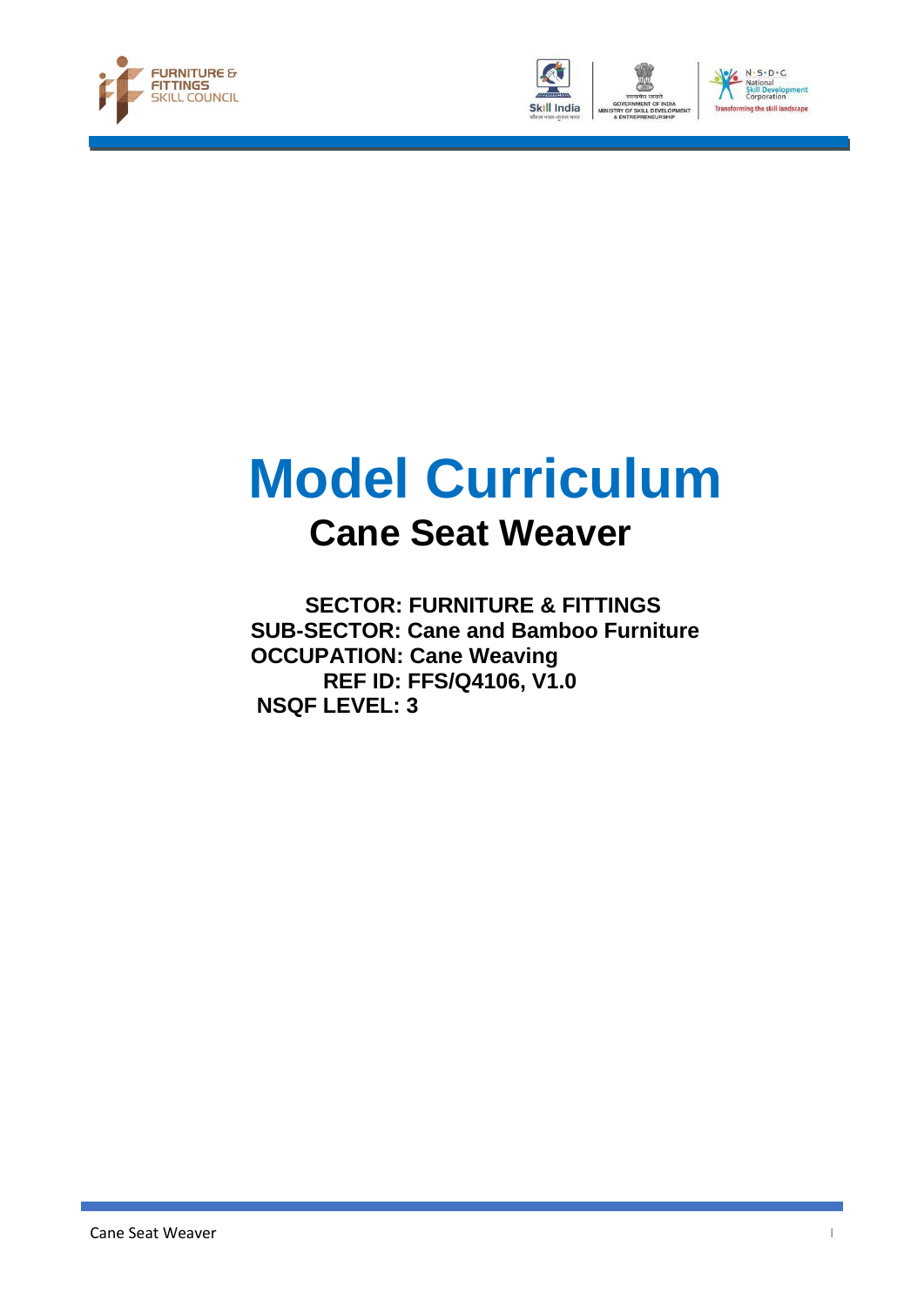





# **Model Curriculum Cane Seat Weaver**

 **SECTOR: FURNITURE & FITTINGS SUB-SECTOR: Cane and Bamboo Furniture OCCUPATION: Cane Weaving REF ID: FFS/Q4106, V1.0 NSQF LEVEL: 3**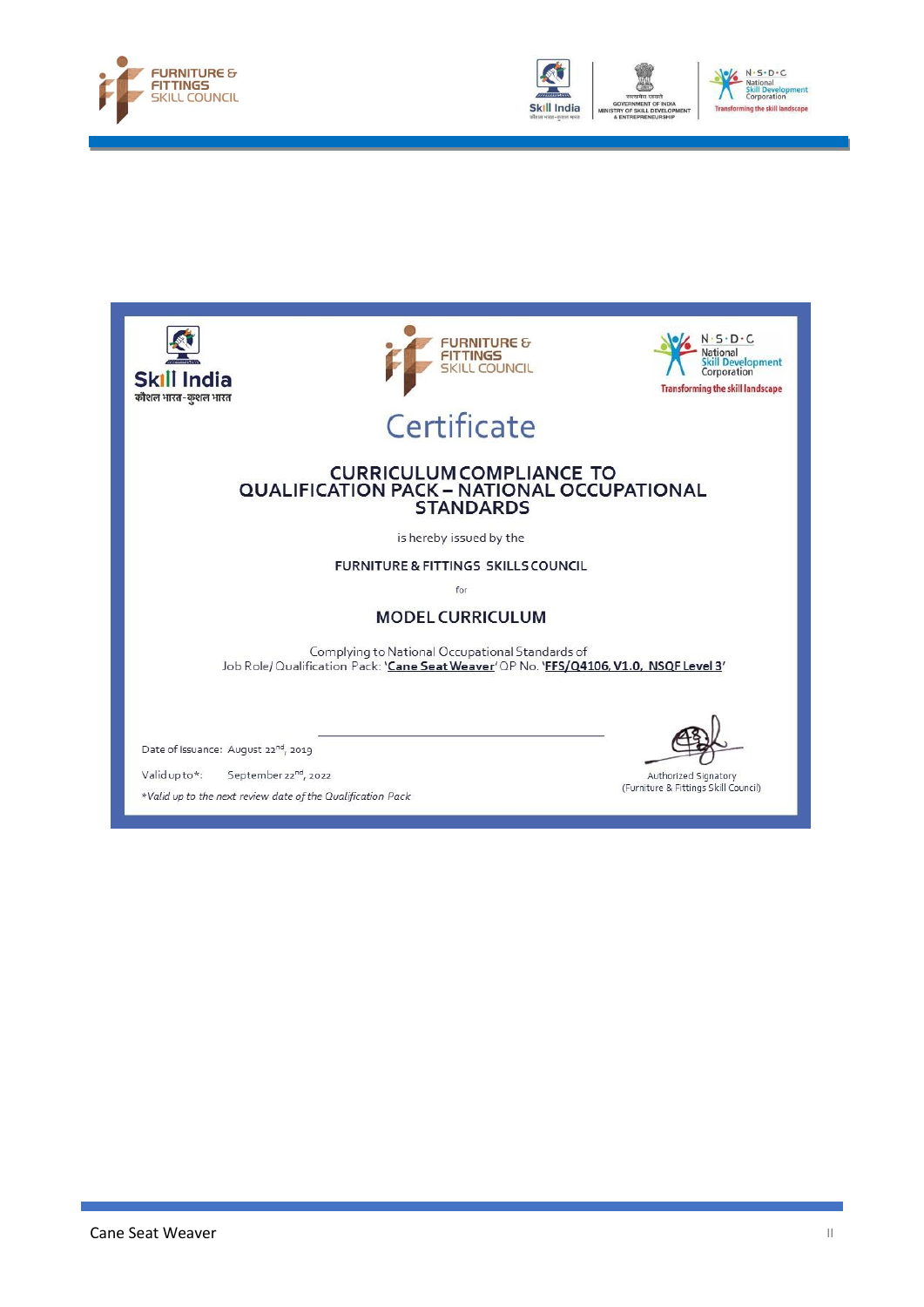





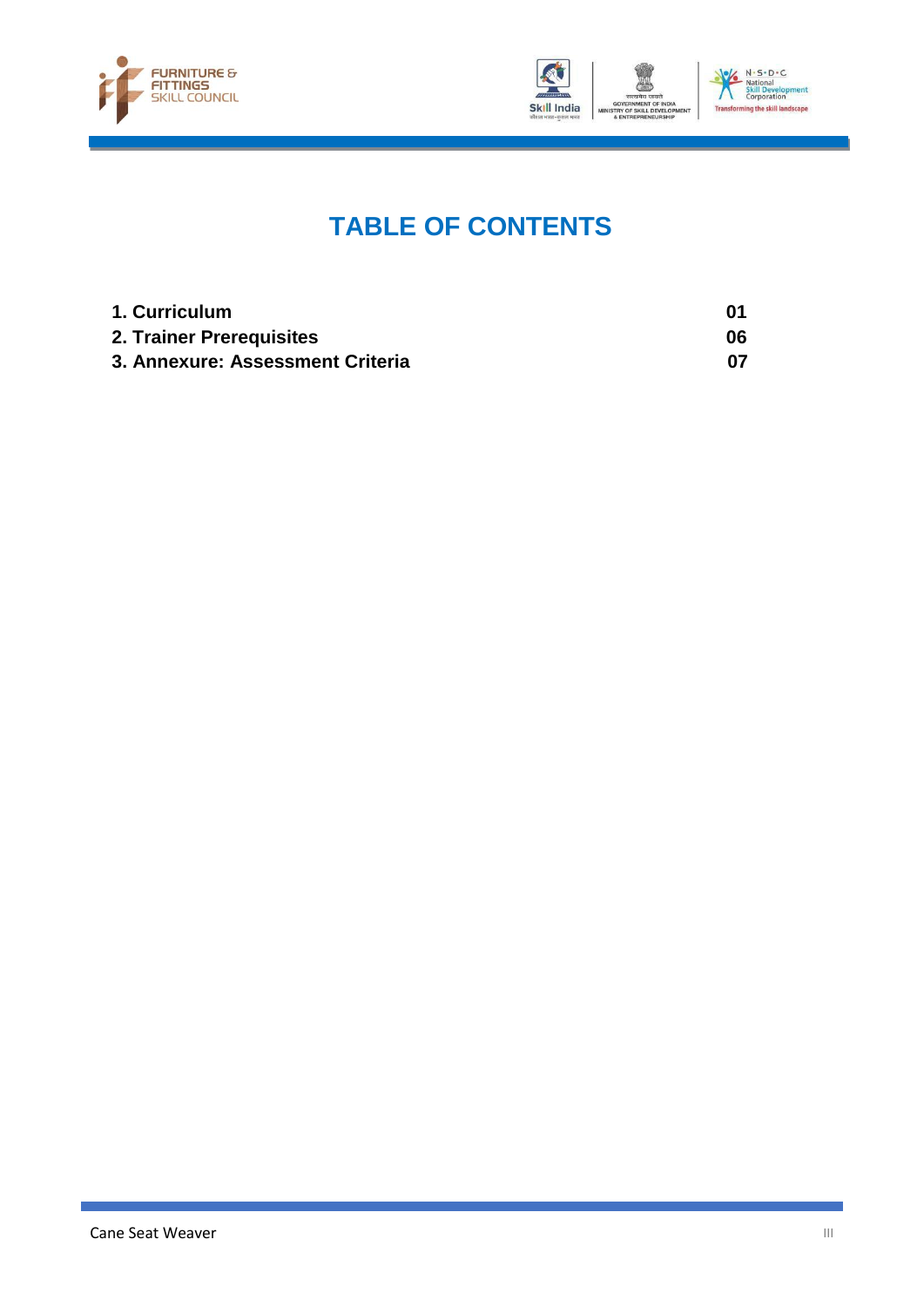



## **TABLE OF CONTENTS**

| 1. Curriculum                    |    |
|----------------------------------|----|
| 2. Trainer Prerequisites         | 06 |
| 3. Annexure: Assessment Criteria |    |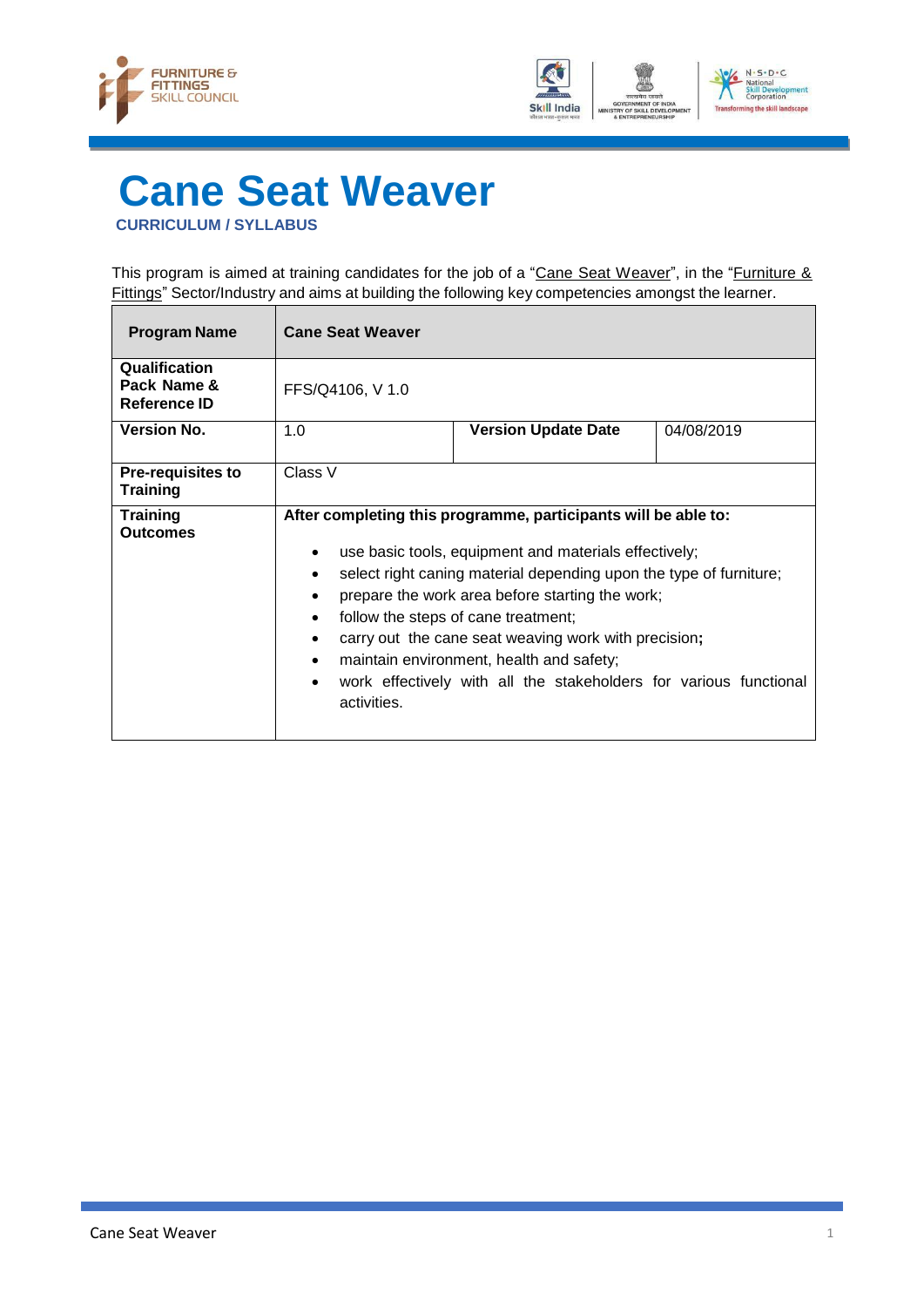



## <span id="page-3-0"></span>**Cane Seat Weaver CURRICULUM / SYLLABUS**

This program is aimed at training candidates for the job of a "Cane Seat Weaver", in the "Furniture & Fittings" Sector/Industry and aims at building the following key competencies amongst the learner.

| <b>Program Name</b>                          | <b>Cane Seat Weaver</b>                                                                                                                                                                                                                                                                                                                                                                                                                                                                                                       |                            |            |
|----------------------------------------------|-------------------------------------------------------------------------------------------------------------------------------------------------------------------------------------------------------------------------------------------------------------------------------------------------------------------------------------------------------------------------------------------------------------------------------------------------------------------------------------------------------------------------------|----------------------------|------------|
| Qualification<br>Pack Name &<br>Reference ID | FFS/Q4106, V 1.0                                                                                                                                                                                                                                                                                                                                                                                                                                                                                                              |                            |            |
| <b>Version No.</b>                           | 1.0                                                                                                                                                                                                                                                                                                                                                                                                                                                                                                                           | <b>Version Update Date</b> | 04/08/2019 |
| <b>Pre-requisites to</b><br><b>Training</b>  | Class V                                                                                                                                                                                                                                                                                                                                                                                                                                                                                                                       |                            |            |
| <b>Training</b><br>Outcomes                  | After completing this programme, participants will be able to:<br>use basic tools, equipment and materials effectively;<br>$\bullet$<br>select right caning material depending upon the type of furniture;<br>٠<br>prepare the work area before starting the work;<br>٠<br>follow the steps of cane treatment;<br>٠<br>carry out the cane seat weaving work with precision;<br>٠<br>maintain environment, health and safety;<br>$\bullet$<br>work effectively with all the stakeholders for various functional<br>activities. |                            |            |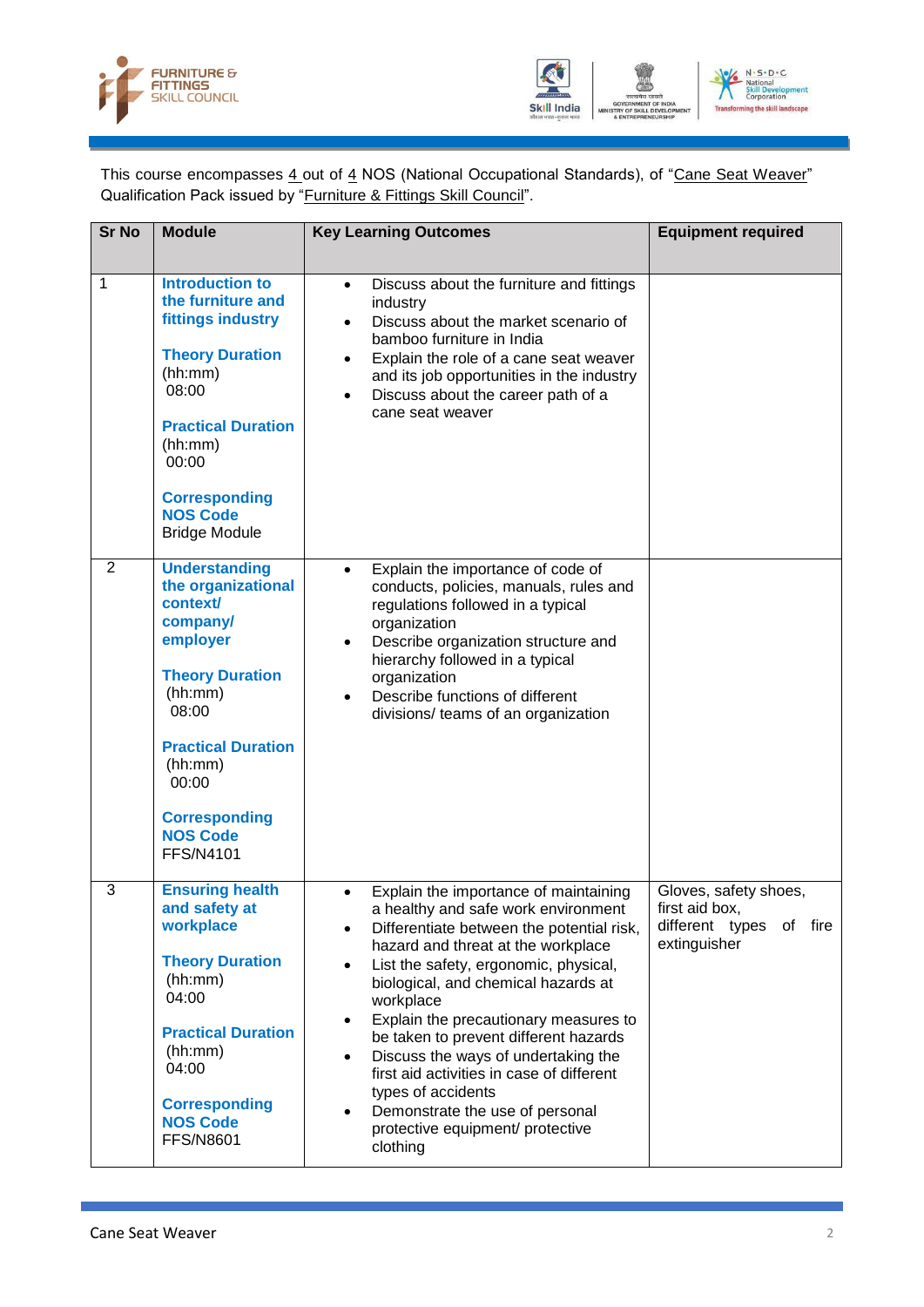



This course encompasses 4 out of 4 NOS (National Occupational Standards), of "Cane Seat Weaver" Qualification Pack issued by "Furniture & Fittings Skill Council".

| <b>Sr No</b>   | <b>Module</b>                                                                                                                                                                                                                                | <b>Key Learning Outcomes</b>                                                                                                                                                                                                                                                                                                                                                                                                                                                                                                                                          | <b>Equipment required</b>                                                             |
|----------------|----------------------------------------------------------------------------------------------------------------------------------------------------------------------------------------------------------------------------------------------|-----------------------------------------------------------------------------------------------------------------------------------------------------------------------------------------------------------------------------------------------------------------------------------------------------------------------------------------------------------------------------------------------------------------------------------------------------------------------------------------------------------------------------------------------------------------------|---------------------------------------------------------------------------------------|
| 1              | <b>Introduction to</b><br>the furniture and<br>fittings industry<br><b>Theory Duration</b><br>(hh:mm)<br>08:00<br><b>Practical Duration</b><br>(hh:mm)<br>00:00<br><b>Corresponding</b><br><b>NOS Code</b><br><b>Bridge Module</b>           | Discuss about the furniture and fittings<br>$\bullet$<br>industry<br>Discuss about the market scenario of<br>$\bullet$<br>bamboo furniture in India<br>Explain the role of a cane seat weaver<br>$\bullet$<br>and its job opportunities in the industry<br>Discuss about the career path of a<br>cane seat weaver                                                                                                                                                                                                                                                     |                                                                                       |
| $\overline{2}$ | <b>Understanding</b><br>the organizational<br>context/<br>company/<br>employer<br><b>Theory Duration</b><br>(hh:mm)<br>08:00<br><b>Practical Duration</b><br>(hh:mm)<br>00:00<br><b>Corresponding</b><br><b>NOS Code</b><br><b>FFS/N4101</b> | Explain the importance of code of<br>$\bullet$<br>conducts, policies, manuals, rules and<br>regulations followed in a typical<br>organization<br>Describe organization structure and<br>hierarchy followed in a typical<br>organization<br>Describe functions of different<br>divisions/ teams of an organization                                                                                                                                                                                                                                                     |                                                                                       |
| 3              | <b>Ensuring health</b><br>and safety at<br>workplace<br><b>Theory Duration</b><br>(hh:mm)<br>04:00<br><b>Practical Duration</b><br>(hh:mm)<br>04:00<br><b>Corresponding</b><br><b>NOS Code</b><br><b>FFS/N8601</b>                           | Explain the importance of maintaining<br>a healthy and safe work environment<br>Differentiate between the potential risk,<br>hazard and threat at the workplace<br>List the safety, ergonomic, physical,<br>$\bullet$<br>biological, and chemical hazards at<br>workplace<br>Explain the precautionary measures to<br>$\bullet$<br>be taken to prevent different hazards<br>Discuss the ways of undertaking the<br>first aid activities in case of different<br>types of accidents<br>Demonstrate the use of personal<br>protective equipment/ protective<br>clothing | Gloves, safety shoes,<br>first aid box,<br>different types<br>of fire<br>extinguisher |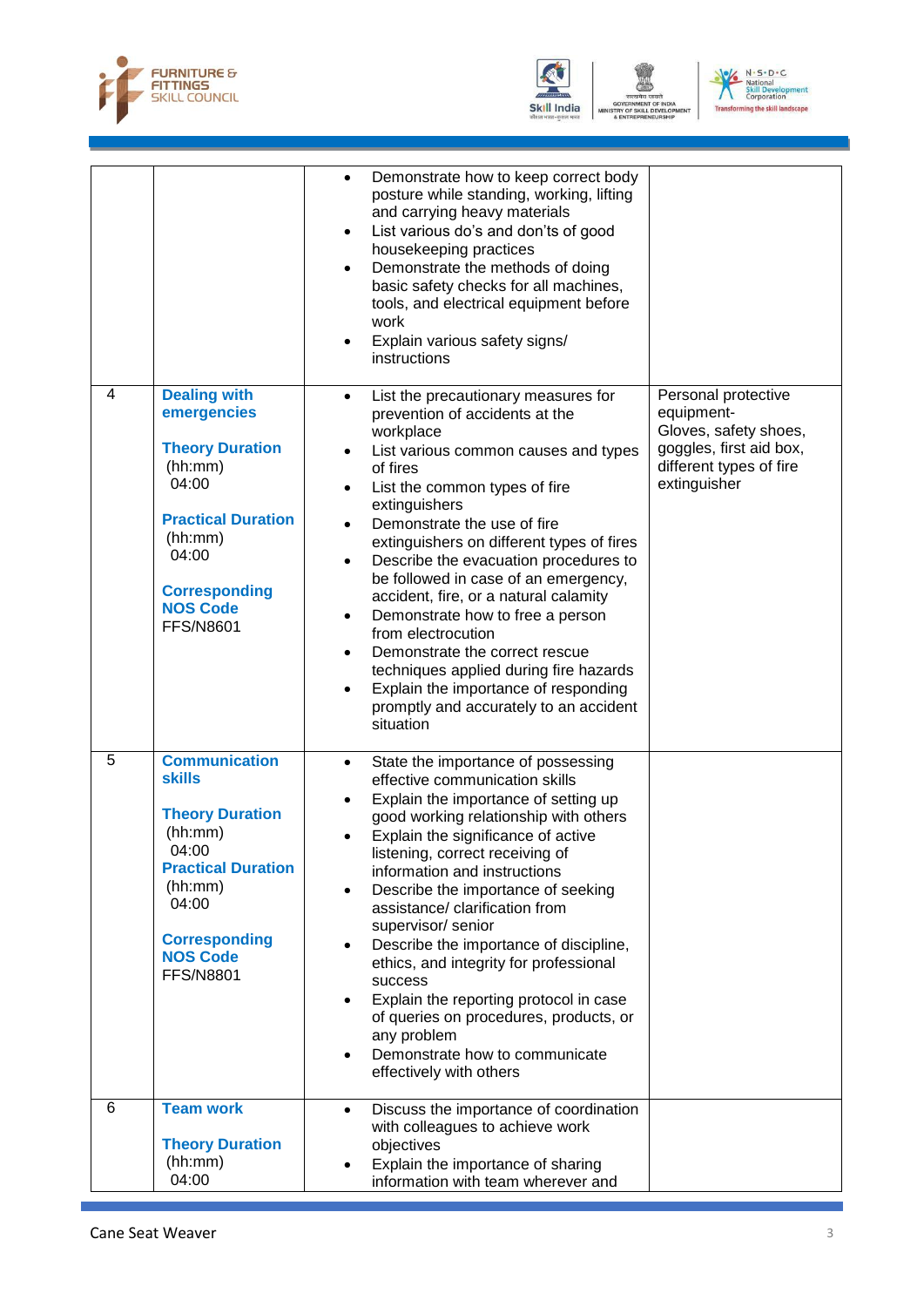



OF SKILL D VELO



|   |                                                                                                                                                                                                     | Demonstrate how to keep correct body<br>$\bullet$<br>posture while standing, working, lifting<br>and carrying heavy materials<br>List various do's and don'ts of good<br>$\bullet$<br>housekeeping practices<br>Demonstrate the methods of doing<br>$\bullet$<br>basic safety checks for all machines,<br>tools, and electrical equipment before<br>work<br>Explain various safety signs/<br>$\bullet$<br>instructions                                                                                                                                                                                                                                                                                                                      |                                                                                                                                  |
|---|-----------------------------------------------------------------------------------------------------------------------------------------------------------------------------------------------------|---------------------------------------------------------------------------------------------------------------------------------------------------------------------------------------------------------------------------------------------------------------------------------------------------------------------------------------------------------------------------------------------------------------------------------------------------------------------------------------------------------------------------------------------------------------------------------------------------------------------------------------------------------------------------------------------------------------------------------------------|----------------------------------------------------------------------------------------------------------------------------------|
| 4 | <b>Dealing with</b><br>emergencies<br><b>Theory Duration</b><br>(hh:mm)<br>04:00<br><b>Practical Duration</b><br>(hh:mm)<br>04:00<br><b>Corresponding</b><br><b>NOS Code</b><br><b>FFS/N8601</b>    | List the precautionary measures for<br>$\bullet$<br>prevention of accidents at the<br>workplace<br>List various common causes and types<br>$\bullet$<br>of fires<br>List the common types of fire<br>$\bullet$<br>extinguishers<br>Demonstrate the use of fire<br>$\bullet$<br>extinguishers on different types of fires<br>Describe the evacuation procedures to<br>$\bullet$<br>be followed in case of an emergency,<br>accident, fire, or a natural calamity<br>Demonstrate how to free a person<br>$\bullet$<br>from electrocution<br>Demonstrate the correct rescue<br>$\bullet$<br>techniques applied during fire hazards<br>Explain the importance of responding<br>$\bullet$<br>promptly and accurately to an accident<br>situation | Personal protective<br>equipment-<br>Gloves, safety shoes,<br>goggles, first aid box,<br>different types of fire<br>extinguisher |
| 5 | <b>Communication</b><br><b>skills</b><br><b>Theory Duration</b><br>(hh:mm)<br>04:00<br><b>Practical Duration</b><br>(hh:mm)<br>04:00<br><b>Corresponding</b><br><b>NOS Code</b><br><b>FFS/N8801</b> | State the importance of possessing<br>$\bullet$<br>effective communication skills<br>Explain the importance of setting up<br>$\bullet$<br>good working relationship with others<br>Explain the significance of active<br>$\bullet$<br>listening, correct receiving of<br>information and instructions<br>Describe the importance of seeking<br>$\bullet$<br>assistance/ clarification from<br>supervisor/ senior<br>Describe the importance of discipline,<br>$\bullet$<br>ethics, and integrity for professional<br>success<br>Explain the reporting protocol in case<br>$\bullet$<br>of queries on procedures, products, or<br>any problem<br>Demonstrate how to communicate<br>$\bullet$<br>effectively with others                      |                                                                                                                                  |
| 6 | <b>Team work</b><br><b>Theory Duration</b><br>(hh:mm)<br>04:00                                                                                                                                      | Discuss the importance of coordination<br>$\bullet$<br>with colleagues to achieve work<br>objectives<br>Explain the importance of sharing<br>information with team wherever and                                                                                                                                                                                                                                                                                                                                                                                                                                                                                                                                                             |                                                                                                                                  |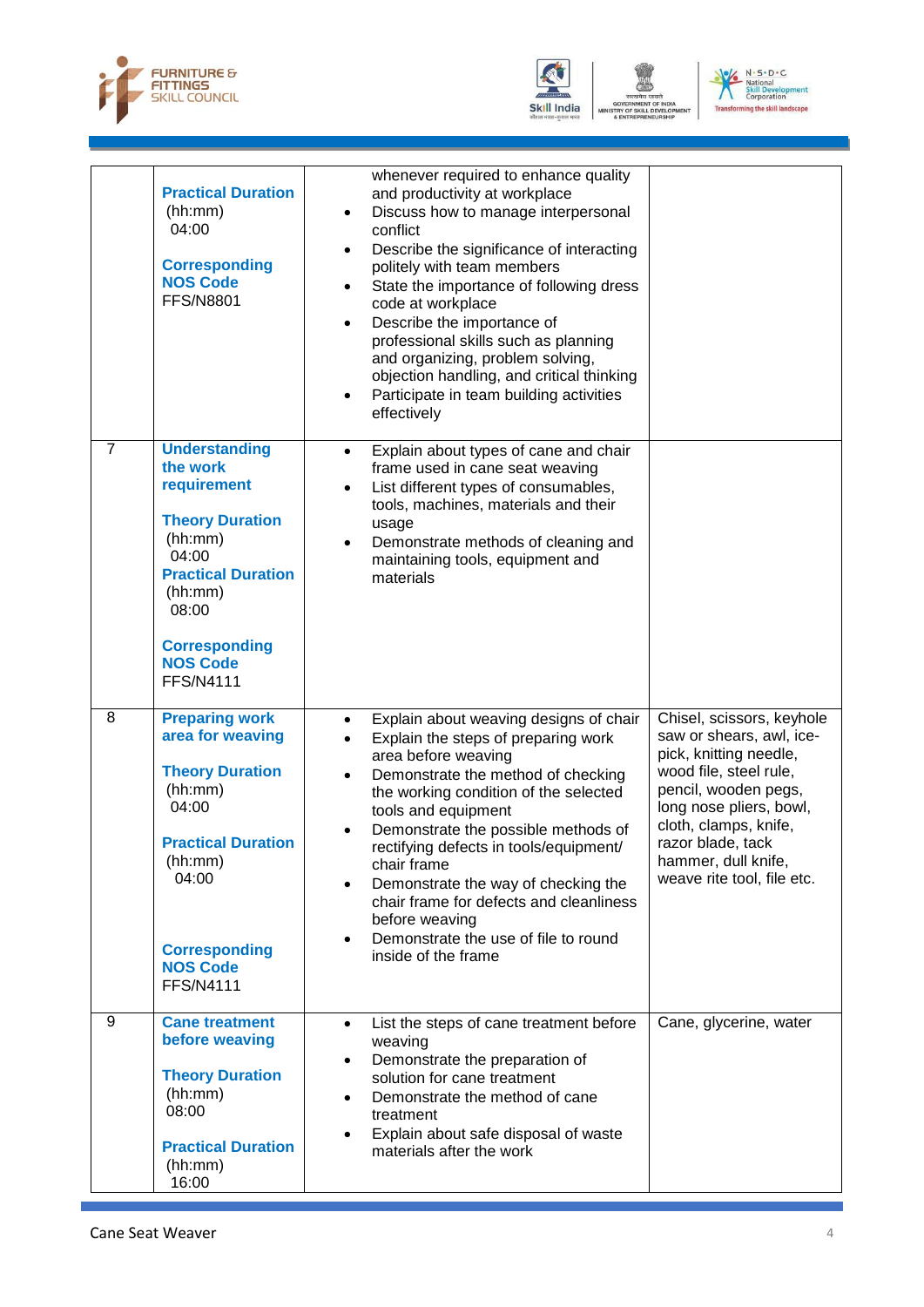



OF SKILL D VELO

TRY<br>\* EN



|                | <b>Practical Duration</b><br>(hh:mm)<br>04:00<br><b>Corresponding</b><br><b>NOS Code</b><br><b>FFS/N8801</b>                                                                                                  | whenever required to enhance quality<br>and productivity at workplace<br>Discuss how to manage interpersonal<br>$\bullet$<br>conflict<br>Describe the significance of interacting<br>$\bullet$<br>politely with team members<br>State the importance of following dress<br>$\bullet$<br>code at workplace<br>Describe the importance of<br>$\bullet$<br>professional skills such as planning<br>and organizing, problem solving,<br>objection handling, and critical thinking<br>Participate in team building activities<br>$\bullet$<br>effectively |                                                                                                                                                                                                                                                                 |
|----------------|---------------------------------------------------------------------------------------------------------------------------------------------------------------------------------------------------------------|------------------------------------------------------------------------------------------------------------------------------------------------------------------------------------------------------------------------------------------------------------------------------------------------------------------------------------------------------------------------------------------------------------------------------------------------------------------------------------------------------------------------------------------------------|-----------------------------------------------------------------------------------------------------------------------------------------------------------------------------------------------------------------------------------------------------------------|
| $\overline{7}$ | <b>Understanding</b><br>the work<br>requirement<br><b>Theory Duration</b><br>(hh:mm)<br>04:00<br><b>Practical Duration</b><br>(hh:mm)<br>08:00<br><b>Corresponding</b><br><b>NOS Code</b><br><b>FFS/N4111</b> | Explain about types of cane and chair<br>$\bullet$<br>frame used in cane seat weaving<br>List different types of consumables,<br>$\bullet$<br>tools, machines, materials and their<br>usage<br>Demonstrate methods of cleaning and<br>$\bullet$<br>maintaining tools, equipment and<br>materials                                                                                                                                                                                                                                                     |                                                                                                                                                                                                                                                                 |
| 8              | <b>Preparing work</b><br>area for weaving<br><b>Theory Duration</b><br>(hh:mm)<br>04:00<br><b>Practical Duration</b><br>(hh:mm)<br>04:00<br><b>Corresponding</b><br><b>NOS Code</b><br><b>FFS/N4111</b>       | Explain about weaving designs of chair<br>$\bullet$<br>Explain the steps of preparing work<br>$\bullet$<br>area before weaving<br>Demonstrate the method of checking<br>$\bullet$<br>the working condition of the selected<br>tools and equipment<br>Demonstrate the possible methods of<br>rectifying defects in tools/equipment/<br>chair frame<br>Demonstrate the way of checking the<br>$\bullet$<br>chair frame for defects and cleanliness<br>before weaving<br>Demonstrate the use of file to round<br>$\bullet$<br>inside of the frame       | Chisel, scissors, keyhole<br>saw or shears, awl, ice-<br>pick, knitting needle,<br>wood file, steel rule,<br>pencil, wooden pegs,<br>long nose pliers, bowl,<br>cloth, clamps, knife,<br>razor blade, tack<br>hammer, dull knife,<br>weave rite tool, file etc. |
| 9              | <b>Cane treatment</b><br>before weaving<br><b>Theory Duration</b><br>(hh:mm)<br>08:00<br><b>Practical Duration</b><br>(hh:mm)<br>16:00                                                                        | List the steps of cane treatment before<br>$\bullet$<br>weaving<br>Demonstrate the preparation of<br>$\bullet$<br>solution for cane treatment<br>Demonstrate the method of cane<br>$\bullet$<br>treatment<br>Explain about safe disposal of waste<br>$\bullet$<br>materials after the work                                                                                                                                                                                                                                                           | Cane, glycerine, water                                                                                                                                                                                                                                          |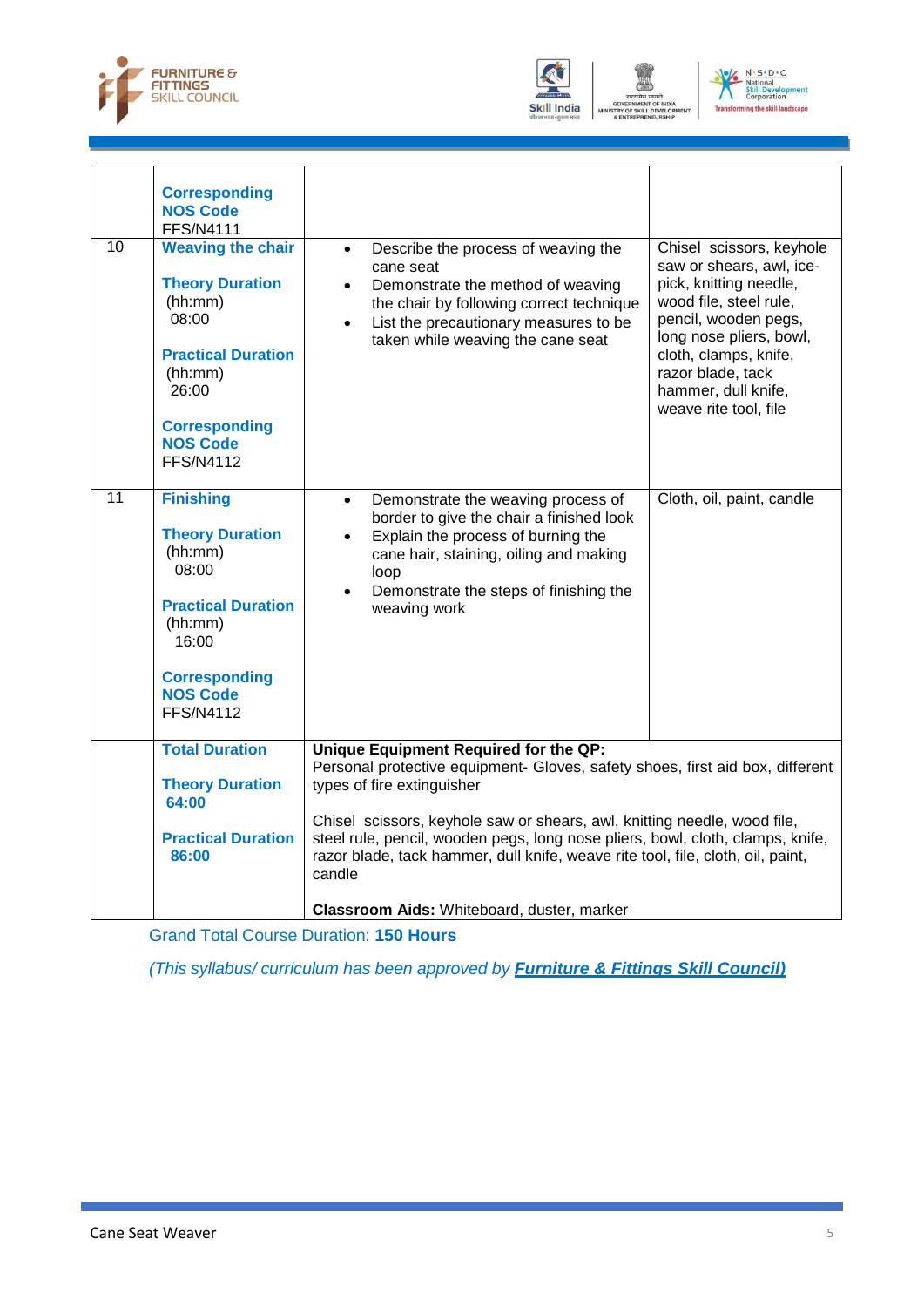





|                 | <b>Corresponding</b>                                                                                                                                                                   |                                                                                                                                                                                                                                                                                                                                                                                                                                                                                                                     |  |
|-----------------|----------------------------------------------------------------------------------------------------------------------------------------------------------------------------------------|---------------------------------------------------------------------------------------------------------------------------------------------------------------------------------------------------------------------------------------------------------------------------------------------------------------------------------------------------------------------------------------------------------------------------------------------------------------------------------------------------------------------|--|
|                 | <b>NOS Code</b><br><b>FFS/N4111</b>                                                                                                                                                    |                                                                                                                                                                                                                                                                                                                                                                                                                                                                                                                     |  |
| 10              | <b>Weaving the chair</b><br><b>Theory Duration</b><br>(hh:mm)<br>08:00<br><b>Practical Duration</b><br>(hh:mm)<br>26:00<br><b>Corresponding</b><br><b>NOS Code</b><br><b>FFS/N4112</b> | Chisel scissors, keyhole<br>Describe the process of weaving the<br>$\bullet$<br>saw or shears, awl, ice-<br>cane seat<br>pick, knitting needle,<br>Demonstrate the method of weaving<br>$\bullet$<br>wood file, steel rule,<br>the chair by following correct technique<br>pencil, wooden pegs,<br>List the precautionary measures to be<br>$\bullet$<br>long nose pliers, bowl,<br>taken while weaving the cane seat<br>cloth, clamps, knife,<br>razor blade, tack<br>hammer, dull knife,<br>weave rite tool, file |  |
| $\overline{11}$ | <b>Finishing</b><br><b>Theory Duration</b><br>(hh:mm)<br>08:00<br><b>Practical Duration</b><br>(hh:mm)<br>16:00<br><b>Corresponding</b><br><b>NOS Code</b><br><b>FFS/N4112</b>         | Cloth, oil, paint, candle<br>Demonstrate the weaving process of<br>$\bullet$<br>border to give the chair a finished look<br>Explain the process of burning the<br>$\bullet$<br>cane hair, staining, oiling and making<br>loop<br>Demonstrate the steps of finishing the<br>$\bullet$<br>weaving work                                                                                                                                                                                                                |  |
|                 | <b>Total Duration</b><br><b>Theory Duration</b><br>64:00<br><b>Practical Duration</b>                                                                                                  | Unique Equipment Required for the QP:<br>Personal protective equipment- Gloves, safety shoes, first aid box, different<br>types of fire extinguisher<br>Chisel scissors, keyhole saw or shears, awl, knitting needle, wood file,<br>steel rule, pencil, wooden pegs, long nose pliers, bowl, cloth, clamps, knife,                                                                                                                                                                                                  |  |
|                 | 86:00                                                                                                                                                                                  | razor blade, tack hammer, dull knife, weave rite tool, file, cloth, oil, paint,<br>candle                                                                                                                                                                                                                                                                                                                                                                                                                           |  |
|                 |                                                                                                                                                                                        | Classroom Aids: Whiteboard, duster, marker                                                                                                                                                                                                                                                                                                                                                                                                                                                                          |  |

Grand Total Course Duration: **150 Hours**

*(This syllabus/ curriculum has been approved by Furniture & Fittings Skill Council)*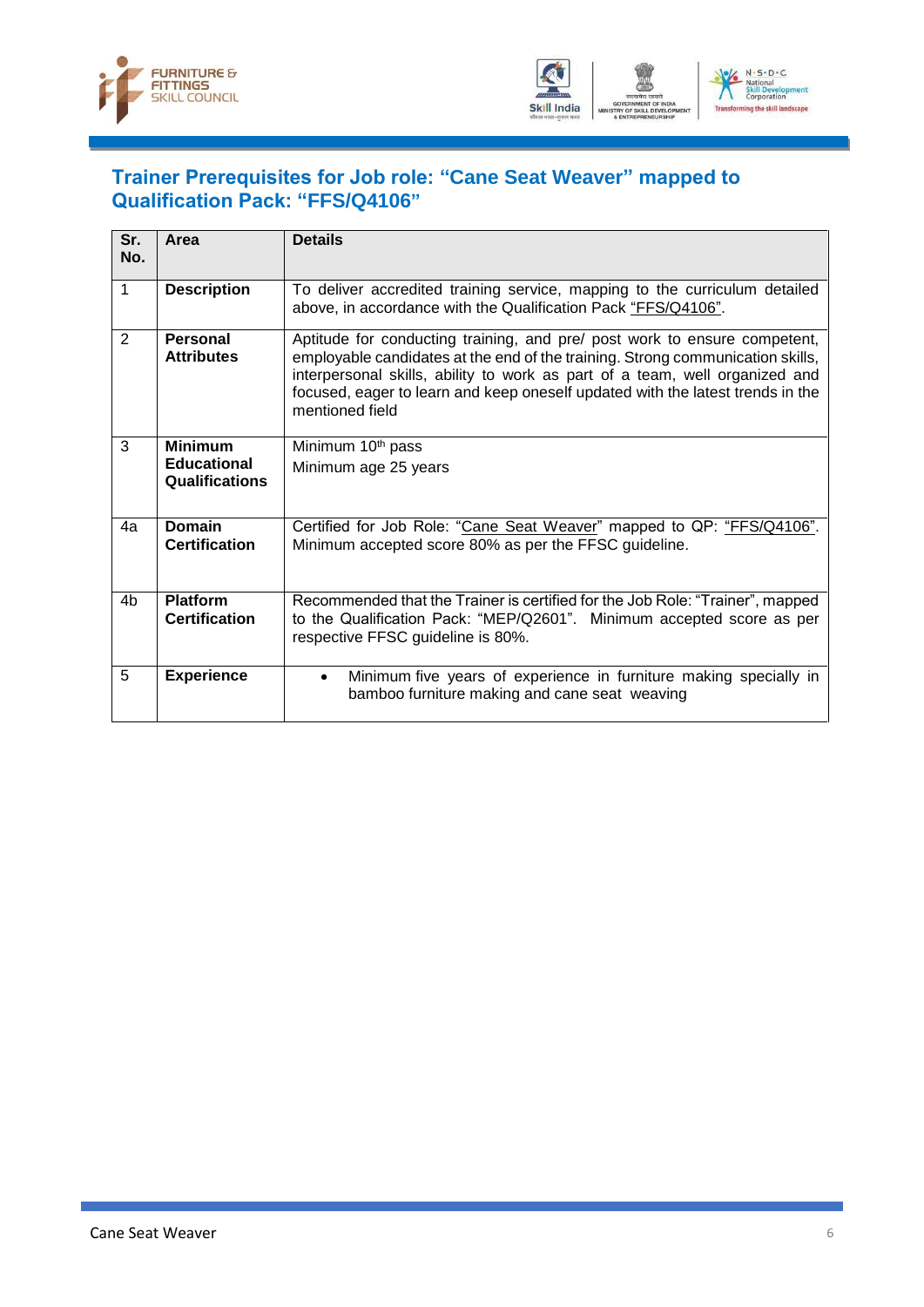



#### <span id="page-8-0"></span>**Trainer Prerequisites for Job role: "Cane Seat Weaver" mapped to Qualification Pack: "FFS/Q4106"**

| Sr.<br>No.     | Area                                                   | <b>Details</b>                                                                                                                                                                                                                                                                                                                                  |
|----------------|--------------------------------------------------------|-------------------------------------------------------------------------------------------------------------------------------------------------------------------------------------------------------------------------------------------------------------------------------------------------------------------------------------------------|
| 1              | <b>Description</b>                                     | To deliver accredited training service, mapping to the curriculum detailed<br>above, in accordance with the Qualification Pack "FFS/Q4106".                                                                                                                                                                                                     |
| 2              | Personal<br><b>Attributes</b>                          | Aptitude for conducting training, and pre/ post work to ensure competent,<br>employable candidates at the end of the training. Strong communication skills,<br>interpersonal skills, ability to work as part of a team, well organized and<br>focused, eager to learn and keep oneself updated with the latest trends in the<br>mentioned field |
| 3              | <b>Minimum</b><br><b>Educational</b><br>Qualifications | Minimum 10 <sup>th</sup> pass<br>Minimum age 25 years                                                                                                                                                                                                                                                                                           |
| 4a             | <b>Domain</b><br><b>Certification</b>                  | Certified for Job Role: "Cane Seat Weaver" mapped to QP: "FFS/Q4106".<br>Minimum accepted score 80% as per the FFSC guideline.                                                                                                                                                                                                                  |
| 4 <sub>b</sub> | <b>Platform</b><br><b>Certification</b>                | Recommended that the Trainer is certified for the Job Role: "Trainer", mapped<br>to the Qualification Pack: "MEP/Q2601". Minimum accepted score as per<br>respective FFSC guideline is 80%.                                                                                                                                                     |
| 5              | <b>Experience</b>                                      | Minimum five years of experience in furniture making specially in<br>$\bullet$<br>bamboo furniture making and cane seat weaving                                                                                                                                                                                                                 |